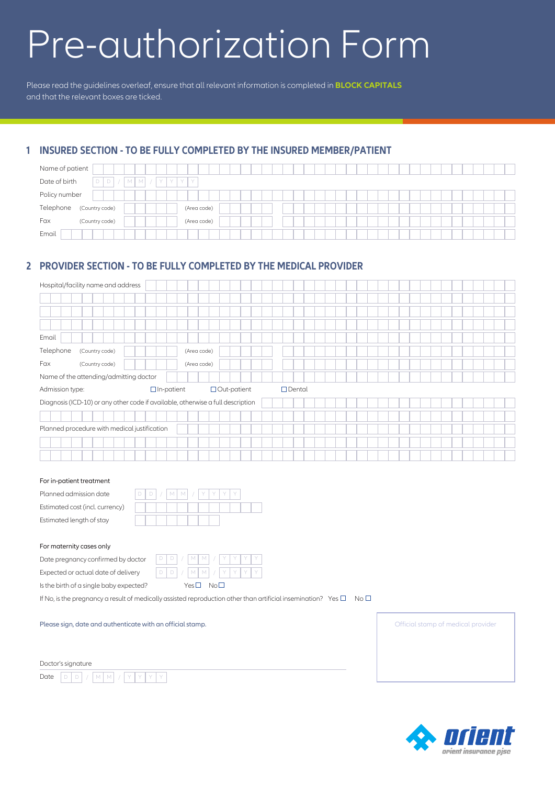# Pre-authorization Form

Please read the guidelines overleaf, ensure that all relevant information is completed in **BLOCK CAPITALS** and that the relevant boxes are ticked.

## **1 INSURED SECTION - TO BE FULLY COMPLETED BY THE INSURED MEMBER/PATIENT**

| Name of patient                                           |             |  |
|-----------------------------------------------------------|-------------|--|
| Date of birth<br>D<br>D<br>Y<br>TY.<br>IY.<br>Y<br>M<br>M |             |  |
| Policy number                                             |             |  |
| Telephone<br>(Country code)                               | (Area code) |  |
| Fax<br>(Country code)                                     | (Area code) |  |
| Email                                                     |             |  |

## **2 PROVIDER SECTION - TO BE FULLY COMPLETED BY THE MEDICAL PROVIDER**

| Hospital/facility name and address                                              |                    |               |  |  |  |  |  |
|---------------------------------------------------------------------------------|--------------------|---------------|--|--|--|--|--|
|                                                                                 |                    |               |  |  |  |  |  |
|                                                                                 |                    |               |  |  |  |  |  |
|                                                                                 |                    |               |  |  |  |  |  |
| Email                                                                           |                    |               |  |  |  |  |  |
| Telephone<br>(Country code)                                                     | (Area code)        |               |  |  |  |  |  |
| Fax<br>(Country code)                                                           | (Area code)        |               |  |  |  |  |  |
| Name of the attending/admitting doctor                                          |                    |               |  |  |  |  |  |
| $\Box$ In-patient<br>Admission type:                                            | $\Box$ Out-patient | $\Box$ Dental |  |  |  |  |  |
| Diagnosis (ICD-10) or any other code if available, otherwise a full description |                    |               |  |  |  |  |  |
|                                                                                 |                    |               |  |  |  |  |  |
| Planned procedure with medical justification                                    |                    |               |  |  |  |  |  |
|                                                                                 |                    |               |  |  |  |  |  |
|                                                                                 |                    |               |  |  |  |  |  |

#### For in-patient treatment

| Planned admission date          |  | $D   D   /   M   M   /   Y   Y   Y   Y$ |  |  |  |  |
|---------------------------------|--|-----------------------------------------|--|--|--|--|
| Estimated cost (incl. currency) |  |                                         |  |  |  |  |
| Estimated length of stay        |  |                                         |  |  |  |  |
|                                 |  |                                         |  |  |  |  |
| For maternity cases only        |  |                                         |  |  |  |  |

Date pregnancy confirmed by doctor

Expected or actual date of delivery



If No, is the pregnancy a result of medically assisted reproduction other than artificial insemination? Yes  $\Box$  No  $\Box$ 

Please sign, date and authenticate with an official stamp.

Doctor's signature Date DD/ M M /YYYY Official stamp of medical provider